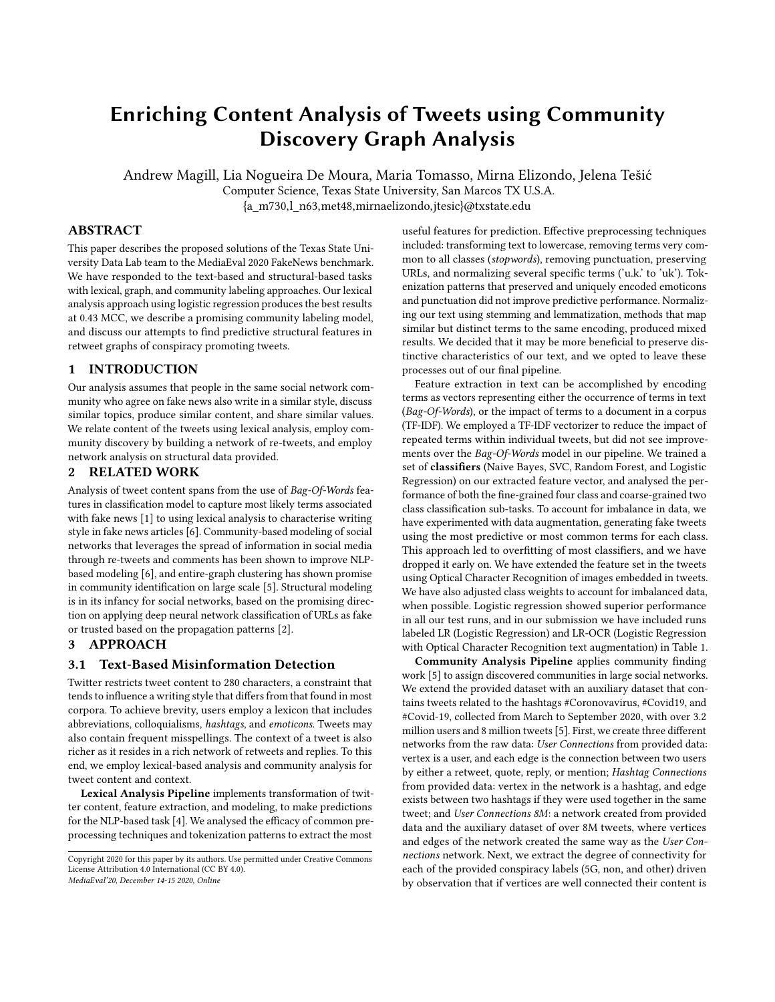# Enriching Content Analysis of Tweets using Community Discovery Graph Analysis

Andrew Magill, Lia Nogueira De Moura, Maria Tomasso, Mirna Elizondo, Jelena Tešić Computer Science, Texas State University, San Marcos TX U.S.A. {a\_m730,l\_n63,met48,mirnaelizondo,jtesic}@txstate.edu

## ABSTRACT

This paper describes the proposed solutions of the Texas State University Data Lab team to the MediaEval 2020 FakeNews benchmark. We have responded to the text-based and structural-based tasks with lexical, graph, and community labeling approaches. Our lexical analysis approach using logistic regression produces the best results at 0.43 MCC, we describe a promising community labeling model, and discuss our attempts to find predictive structural features in retweet graphs of conspiracy promoting tweets.

## 1 INTRODUCTION

Our analysis assumes that people in the same social network community who agree on fake news also write in a similar style, discuss similar topics, produce similar content, and share similar values. We relate content of the tweets using lexical analysis, employ community discovery by building a network of re-tweets, and employ network analysis on structural data provided.

## 2 RELATED WORK

Analysis of tweet content spans from the use of Bag-Of-Words features in classification model to capture most likely terms associated with fake news [\[1\]](#page-2-0) to using lexical analysis to characterise writing style in fake news articles [\[6\]](#page-2-1). Community-based modeling of social networks that leverages the spread of information in social media through re-tweets and comments has been shown to improve NLPbased modeling [\[6\]](#page-2-1), and entire-graph clustering has shown promise in community identification on large scale [\[5\]](#page-2-2). Structural modeling is in its infancy for social networks, based on the promising direction on applying deep neural network classification of URLs as fake or trusted based on the propagation patterns [\[2\]](#page-2-3).

#### 3 APPROACH

#### 3.1 Text-Based Misinformation Detection

Twitter restricts tweet content to 280 characters, a constraint that tends to influence a writing style that differs from that found in most corpora. To achieve brevity, users employ a lexicon that includes abbreviations, colloquialisms, hashtags, and emoticons. Tweets may also contain frequent misspellings. The context of a tweet is also richer as it resides in a rich network of retweets and replies. To this end, we employ lexical-based analysis and community analysis for tweet content and context.

Lexical Analysis Pipeline implements transformation of twitter content, feature extraction, and modeling, to make predictions for the NLP-based task [\[4\]](#page-2-4). We analysed the efficacy of common preprocessing techniques and tokenization patterns to extract the most

MediaEval'20, December 14-15 2020, Online

useful features for prediction. Effective preprocessing techniques included: transforming text to lowercase, removing terms very common to all classes (stopwords), removing punctuation, preserving URLs, and normalizing several specific terms ('u.k.' to 'uk'). Tokenization patterns that preserved and uniquely encoded emoticons and punctuation did not improve predictive performance. Normalizing our text using stemming and lemmatization, methods that map similar but distinct terms to the same encoding, produced mixed results. We decided that it may be more beneficial to preserve distinctive characteristics of our text, and we opted to leave these processes out of our final pipeline.

Feature extraction in text can be accomplished by encoding terms as vectors representing either the occurrence of terms in text (Bag-Of-Words), or the impact of terms to a document in a corpus (TF-IDF). We employed a TF-IDF vectorizer to reduce the impact of repeated terms within individual tweets, but did not see improvements over the Bag-Of-Words model in our pipeline. We trained a set of classifiers (Naive Bayes, SVC, Random Forest, and Logistic Regression) on our extracted feature vector, and analysed the performance of both the fine-grained four class and coarse-grained two class classification sub-tasks. To account for imbalance in data, we have experimented with data augmentation, generating fake tweets using the most predictive or most common terms for each class. This approach led to overfitting of most classifiers, and we have dropped it early on. We have extended the feature set in the tweets using Optical Character Recognition of images embedded in tweets. We have also adjusted class weights to account for imbalanced data, when possible. Logistic regression showed superior performance in all our test runs, and in our submission we have included runs labeled LR (Logistic Regression) and LR-OCR (Logistic Regression with Optical Character Recognition text augmentation) in Table [1.](#page-1-0)

Community Analysis Pipeline applies community finding work [\[5\]](#page-2-2) to assign discovered communities in large social networks. We extend the provided dataset with an auxiliary dataset that contains tweets related to the hashtags #Coronovavirus, #Covid19, and #Covid-19, collected from March to September 2020, with over 3.2 million users and 8 million tweets [\[5\]](#page-2-2). First, we create three different networks from the raw data: User Connections from provided data: vertex is a user, and each edge is the connection between two users by either a retweet, quote, reply, or mention; Hashtag Connections from provided data: vertex in the network is a hashtag, and edge exists between two hashtags if they were used together in the same tweet; and User Connections 8M: a network created from provided data and the auxiliary dataset of over 8M tweets, where vertices and edges of the network created the same way as the User Connections network. Next, we extract the degree of connectivity for each of the provided conspiracy labels (5G, non, and other) driven by observation that if vertices are well connected their content is

Copyright 2020 for this paper by its authors. Use permitted under Creative Commons License Attribution 4.0 International (CC BY 4.0).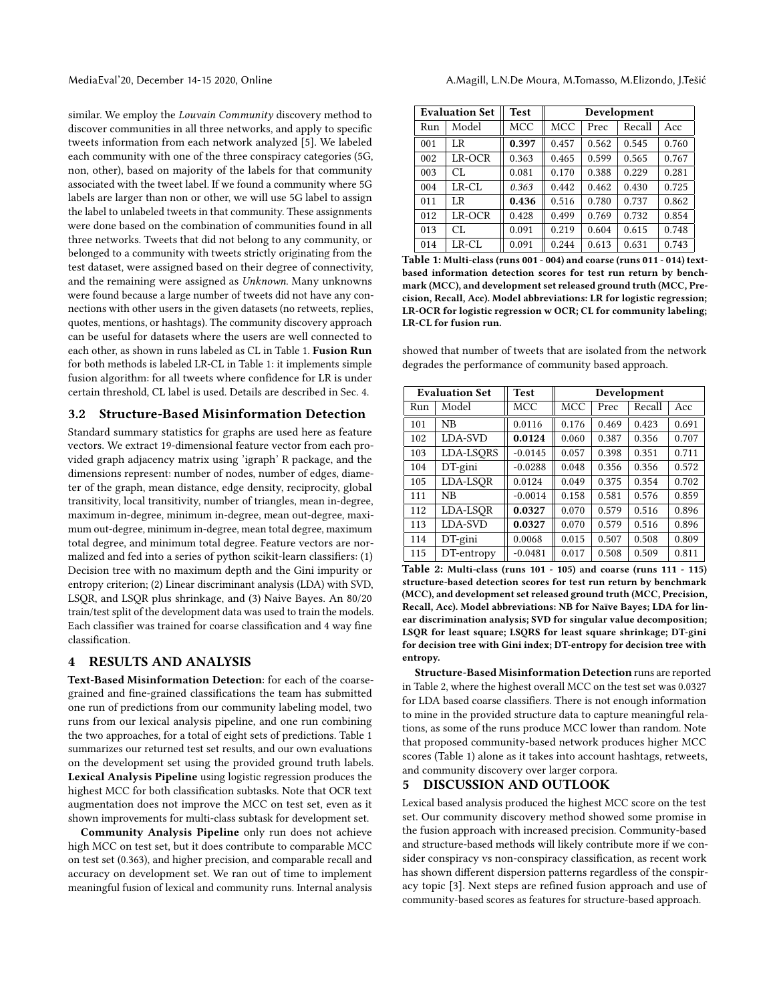similar. We employ the Louvain Community discovery method to discover communities in all three networks, and apply to specific tweets information from each network analyzed [\[5\]](#page-2-2). We labeled each community with one of the three conspiracy categories (5G, non, other), based on majority of the labels for that community associated with the tweet label. If we found a community where 5G labels are larger than non or other, we will use 5G label to assign the label to unlabeled tweets in that community. These assignments were done based on the combination of communities found in all three networks. Tweets that did not belong to any community, or belonged to a community with tweets strictly originating from the test dataset, were assigned based on their degree of connectivity, and the remaining were assigned as Unknown. Many unknowns were found because a large number of tweets did not have any connections with other users in the given datasets (no retweets, replies, quotes, mentions, or hashtags). The community discovery approach can be useful for datasets where the users are well connected to each other, as shown in runs labeled as CL in Table [1.](#page-1-0) Fusion Run for both methods is labeled LR-CL in Table [1:](#page-1-0) it implements simple fusion algorithm: for all tweets where confidence for LR is under certain threshold, CL label is used. Details are described in Sec. [4.](#page-1-1)

#### 3.2 Structure-Based Misinformation Detection

Standard summary statistics for graphs are used here as feature vectors. We extract 19-dimensional feature vector from each provided graph adjacency matrix using 'igraph' R package, and the dimensions represent: number of nodes, number of edges, diameter of the graph, mean distance, edge density, reciprocity, global transitivity, local transitivity, number of triangles, mean in-degree, maximum in-degree, minimum in-degree, mean out-degree, maximum out-degree, minimum in-degree, mean total degree, maximum total degree, and minimum total degree. Feature vectors are normalized and fed into a series of python scikit-learn classifiers: (1) Decision tree with no maximum depth and the Gini impurity or entropy criterion; (2) Linear discriminant analysis (LDA) with SVD, LSQR, and LSQR plus shrinkage, and (3) Naive Bayes. An 80/20 train/test split of the development data was used to train the models. Each classifier was trained for coarse classification and 4 way fine classification.

## <span id="page-1-1"></span>4 RESULTS AND ANALYSIS

Text-Based Misinformation Detection: for each of the coarsegrained and fine-grained classifications the team has submitted one run of predictions from our community labeling model, two runs from our lexical analysis pipeline, and one run combining the two approaches, for a total of eight sets of predictions. Table [1](#page-1-0) summarizes our returned test set results, and our own evaluations on the development set using the provided ground truth labels. Lexical Analysis Pipeline using logistic regression produces the highest MCC for both classification subtasks. Note that OCR text augmentation does not improve the MCC on test set, even as it shown improvements for multi-class subtask for development set.

Community Analysis Pipeline only run does not achieve high MCC on test set, but it does contribute to comparable MCC on test set (0.363), and higher precision, and comparable recall and accuracy on development set. We ran out of time to implement meaningful fusion of lexical and community runs. Internal analysis

MediaEval'20, December 14-15 2020, Online A.Magill, L.N.De Moura, M.Tomasso, M.Elizondo, J.Tešić

<span id="page-1-0"></span>

| <b>Evaluation Set</b> |        | <b>Test</b> | Development |       |        |       |  |  |
|-----------------------|--------|-------------|-------------|-------|--------|-------|--|--|
| Run                   | Model  | MCC         | <b>MCC</b>  | Prec  | Recall | Acc   |  |  |
| 001                   | LR     | 0.397       | 0.457       | 0.562 | 0.545  | 0.760 |  |  |
| 002                   | LR-OCR | 0.363       | 0.465       | 0.599 | 0.565  | 0.767 |  |  |
| 003                   | CL.    | 0.081       | 0.170       | 0.388 | 0.229  | 0.281 |  |  |
| 004                   | LR-CL  | 0.363       | 0.442       | 0.462 | 0.430  | 0.725 |  |  |
| 011                   | LR     | 0.436       | 0.516       | 0.780 | 0.737  | 0.862 |  |  |
| 012                   | LR-OCR | 0.428       | 0.499       | 0.769 | 0.732  | 0.854 |  |  |
| 013                   | CL.    | 0.091       | 0.219       | 0.604 | 0.615  | 0.748 |  |  |
| 014                   | LR-CL  | 0.091       | 0.244       | 0.613 | 0.631  | 0.743 |  |  |

Table 1: Multi-class (runs 001 - 004) and coarse (runs 011 - 014) textbased information detection scores for test run return by benchmark (MCC), and development set released ground truth (MCC, Precision, Recall, Acc). Model abbreviations: LR for logistic regression; LR-OCR for logistic regression w OCR; CL for community labeling; LR-CL for fusion run.

showed that number of tweets that are isolated from the network degrades the performance of community based approach.

<span id="page-1-2"></span>

| <b>Evaluation Set</b> |                  | <b>Test</b> | Development |       |        |       |  |
|-----------------------|------------------|-------------|-------------|-------|--------|-------|--|
| Run                   | Model            | <b>MCC</b>  | <b>MCC</b>  | Prec  | Recall | Acc   |  |
| 101                   | NB               | 0.0116      | 0.176       | 0.469 | 0.423  | 0.691 |  |
| 102                   | LDA-SVD          | 0.0124      | 0.060       | 0.387 | 0.356  | 0.707 |  |
| 103                   | <b>LDA-LSORS</b> | $-0.0145$   | 0.057       | 0.398 | 0.351  | 0.711 |  |
| 104                   | DT-gini          | $-0.0288$   | 0.048       | 0.356 | 0.356  | 0.572 |  |
| 105                   | LDA-LSOR         | 0.0124      | 0.049       | 0.375 | 0.354  | 0.702 |  |
| 111                   | NB               | $-0.0014$   | 0.158       | 0.581 | 0.576  | 0.859 |  |
| 112                   | LDA-LSOR         | 0.0327      | 0.070       | 0.579 | 0.516  | 0.896 |  |
| 113                   | <b>LDA-SVD</b>   | 0.0327      | 0.070       | 0.579 | 0.516  | 0.896 |  |
| 114                   | DT-gini          | 0.0068      | 0.015       | 0.507 | 0.508  | 0.809 |  |
| 115                   | DT-entropy       | $-0.0481$   | 0.017       | 0.508 | 0.509  | 0.811 |  |

Table 2: Multi-class (runs 101 - 105) and coarse (runs 111 - 115) structure-based detection scores for test run return by benchmark (MCC), and development set released ground truth (MCC, Precision, Recall, Acc). Model abbreviations: NB for Naïve Bayes; LDA for linear discrimination analysis; SVD for singular value decomposition; LSQR for least square; LSQRS for least square shrinkage; DT-gini for decision tree with Gini index; DT-entropy for decision tree with entropy.

Structure-Based Misinformation Detection runs are reported in Table [2,](#page-1-2) where the highest overall MCC on the test set was 0.0327 for LDA based coarse classifiers. There is not enough information to mine in the provided structure data to capture meaningful relations, as some of the runs produce MCC lower than random. Note that proposed community-based network produces higher MCC scores (Table [1\)](#page-1-0) alone as it takes into account hashtags, retweets, and community discovery over larger corpora.

### 5 DISCUSSION AND OUTLOOK

Lexical based analysis produced the highest MCC score on the test set. Our community discovery method showed some promise in the fusion approach with increased precision. Community-based and structure-based methods will likely contribute more if we consider conspiracy vs non-conspiracy classification, as recent work has shown different dispersion patterns regardless of the conspiracy topic [\[3\]](#page-2-5). Next steps are refined fusion approach and use of community-based scores as features for structure-based approach.